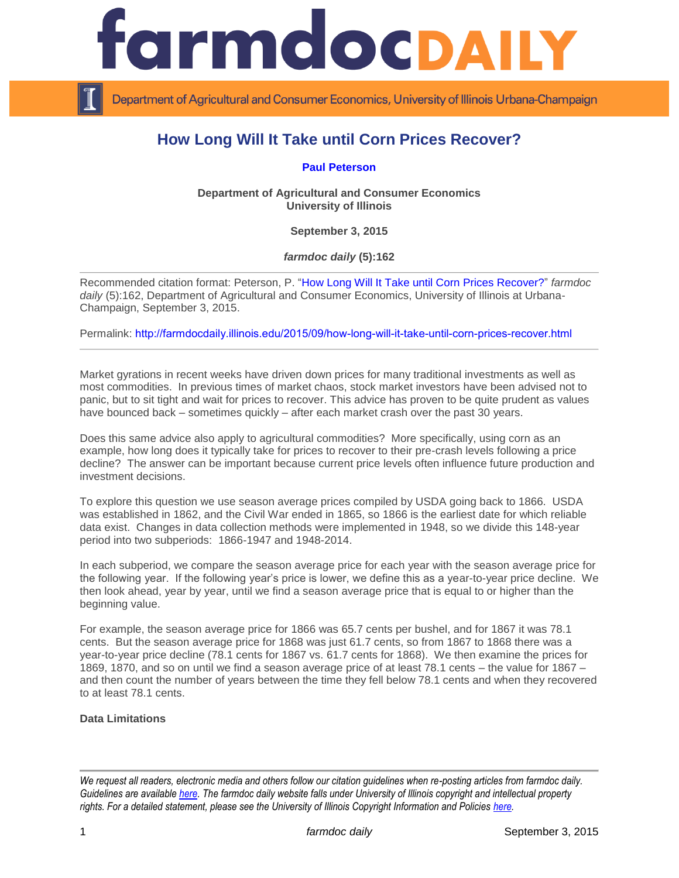

Department of Agricultural and Consumer Economics, University of Illinois Urbana-Champaign

# **How Long Will It Take until Corn Prices Recover?**

**[Paul Peterson](http://www.farmdoc.illinois.edu/peterson/)**

**Department of Agricultural and Consumer Economics University of Illinois**

**September 3, 2015**

*farmdoc daily* **(5):162**

Recommended citation format: Peterson, P. ["How Long Will It Take until Corn Prices Recover?"](http://farmdocdaily.illinois.edu/2015/09/how-long-will-it-take-until-corn-prices-recover.html) *farmdoc daily* (5):162, Department of Agricultural and Consumer Economics, University of Illinois at Urbana-Champaign, September 3, 2015.

Permalink: <http://farmdocdaily.illinois.edu/2015/09/how-long-will-it-take-until-corn-prices-recover.html>

Market gyrations in recent weeks have driven down prices for many traditional investments as well as most commodities. In previous times of market chaos, stock market investors have been advised not to panic, but to sit tight and wait for prices to recover. This advice has proven to be quite prudent as values have bounced back – sometimes quickly – after each market crash over the past 30 years.

Does this same advice also apply to agricultural commodities? More specifically, using corn as an example, how long does it typically take for prices to recover to their pre-crash levels following a price decline? The answer can be important because current price levels often influence future production and investment decisions.

To explore this question we use season average prices compiled by USDA going back to 1866. USDA was established in 1862, and the Civil War ended in 1865, so 1866 is the earliest date for which reliable data exist. Changes in data collection methods were implemented in 1948, so we divide this 148-year period into two subperiods: 1866-1947 and 1948-2014.

In each subperiod, we compare the season average price for each year with the season average price for the following year. If the following year's price is lower, we define this as a year-to-year price decline. We then look ahead, year by year, until we find a season average price that is equal to or higher than the beginning value.

For example, the season average price for 1866 was 65.7 cents per bushel, and for 1867 it was 78.1 cents. But the season average price for 1868 was just 61.7 cents, so from 1867 to 1868 there was a year-to-year price decline (78.1 cents for 1867 vs. 61.7 cents for 1868). We then examine the prices for 1869, 1870, and so on until we find a season average price of at least 78.1 cents – the value for 1867 – and then count the number of years between the time they fell below 78.1 cents and when they recovered to at least 78.1 cents.

#### **Data Limitations**

*We request all readers, electronic media and others follow our citation guidelines when re-posting articles from farmdoc daily. Guidelines are available [here.](http://farmdocdaily.illinois.edu/citationguide.html) The farmdoc daily website falls under University of Illinois copyright and intellectual property rights. For a detailed statement, please see the University of Illinois Copyright Information and Policies [here.](http://www.cio.illinois.edu/policies/copyright/)*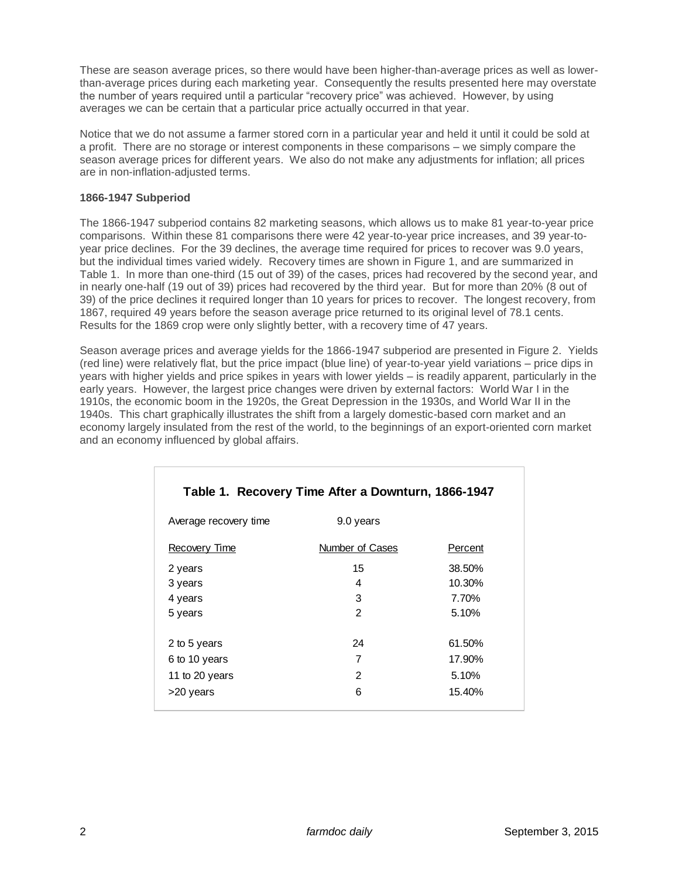These are season average prices, so there would have been higher-than-average prices as well as lowerthan-average prices during each marketing year. Consequently the results presented here may overstate the number of years required until a particular "recovery price" was achieved. However, by using averages we can be certain that a particular price actually occurred in that year.

Notice that we do not assume a farmer stored corn in a particular year and held it until it could be sold at a profit. There are no storage or interest components in these comparisons – we simply compare the season average prices for different years. We also do not make any adjustments for inflation; all prices are in non-inflation-adjusted terms.

### **1866-1947 Subperiod**

The 1866-1947 subperiod contains 82 marketing seasons, which allows us to make 81 year-to-year price comparisons. Within these 81 comparisons there were 42 year-to-year price increases, and 39 year-toyear price declines. For the 39 declines, the average time required for prices to recover was 9.0 years, but the individual times varied widely. Recovery times are shown in Figure 1, and are summarized in Table 1. In more than one-third (15 out of 39) of the cases, prices had recovered by the second year, and in nearly one-half (19 out of 39) prices had recovered by the third year. But for more than 20% (8 out of 39) of the price declines it required longer than 10 years for prices to recover. The longest recovery, from 1867, required 49 years before the season average price returned to its original level of 78.1 cents. Results for the 1869 crop were only slightly better, with a recovery time of 47 years.

Season average prices and average yields for the 1866-1947 subperiod are presented in Figure 2. Yields (red line) were relatively flat, but the price impact (blue line) of year-to-year yield variations – price dips in years with higher yields and price spikes in years with lower yields – is readily apparent, particularly in the early years. However, the largest price changes were driven by external factors: World War I in the 1910s, the economic boom in the 1920s, the Great Depression in the 1930s, and World War II in the 1940s. This chart graphically illustrates the shift from a largely domestic-based corn market and an economy largely insulated from the rest of the world, to the beginnings of an export-oriented corn market and an economy influenced by global affairs.

| Table 1. Recovery Time After a Downturn, 1866-1947 |                 |         |  |
|----------------------------------------------------|-----------------|---------|--|
| Average recovery time                              | 9.0 years       |         |  |
| Recovery Time                                      | Number of Cases | Percent |  |
| 2 years                                            | 15              | 38.50%  |  |
| 3 years                                            | 4               | 10.30%  |  |
| 4 years                                            | 3               | 7.70%   |  |
| 5 years                                            | $\mathcal{P}$   | 5.10%   |  |
| 2 to 5 years                                       | 24              | 61.50%  |  |
| 6 to 10 years                                      | 7               | 17.90%  |  |
| 11 to 20 years                                     | 2               | 5.10%   |  |
| >20 years                                          | 6               | 15.40%  |  |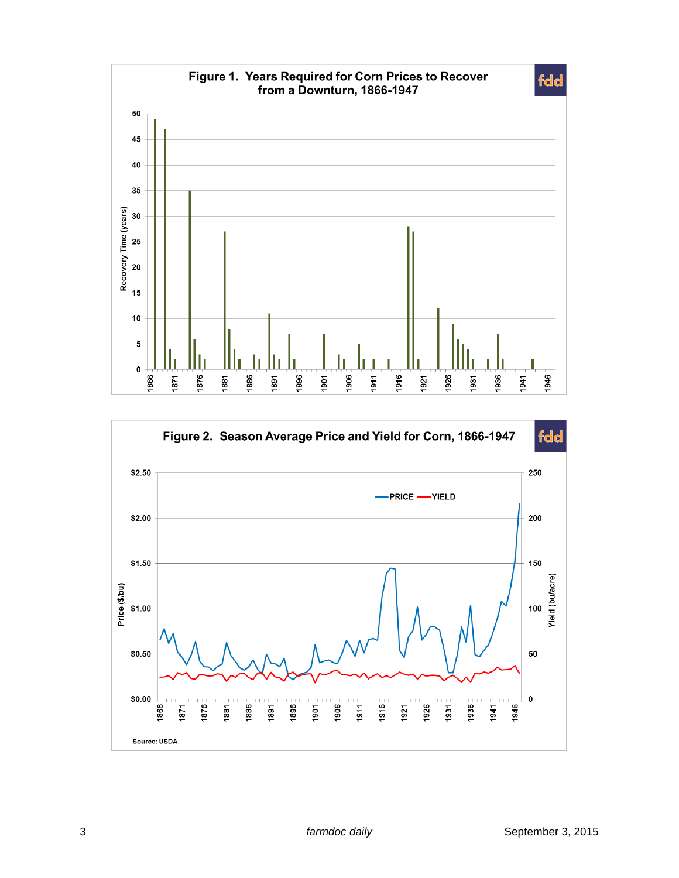

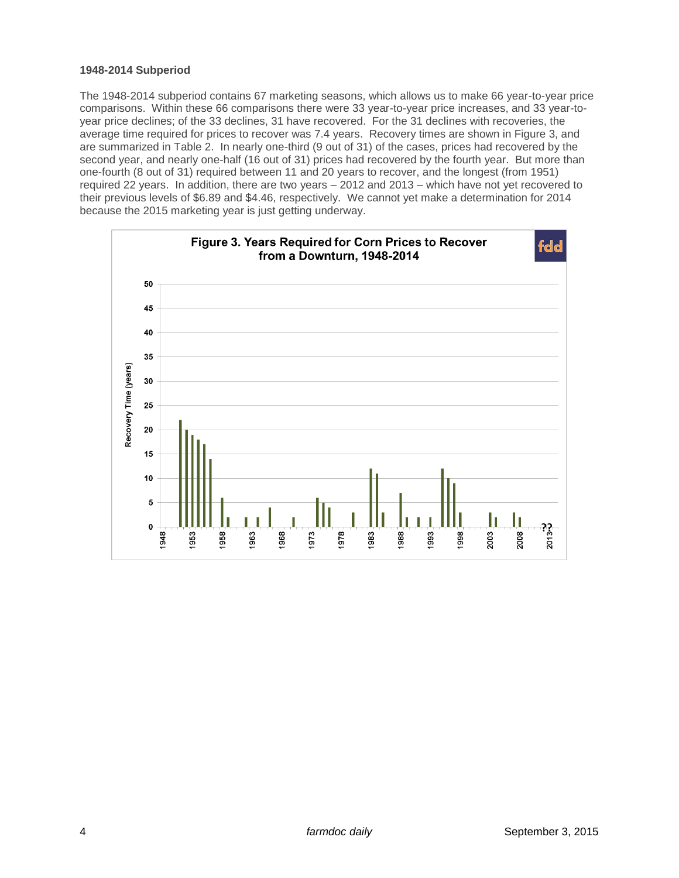#### **1948-2014 Subperiod**

The 1948-2014 subperiod contains 67 marketing seasons, which allows us to make 66 year-to-year price comparisons. Within these 66 comparisons there were 33 year-to-year price increases, and 33 year-toyear price declines; of the 33 declines, 31 have recovered. For the 31 declines with recoveries, the average time required for prices to recover was 7.4 years. Recovery times are shown in Figure 3, and are summarized in Table 2. In nearly one-third (9 out of 31) of the cases, prices had recovered by the second year, and nearly one-half (16 out of 31) prices had recovered by the fourth year. But more than one-fourth (8 out of 31) required between 11 and 20 years to recover, and the longest (from 1951) required 22 years. In addition, there are two years – 2012 and 2013 – which have not yet recovered to their previous levels of \$6.89 and \$4.46, respectively. We cannot yet make a determination for 2014 because the 2015 marketing year is just getting underway.

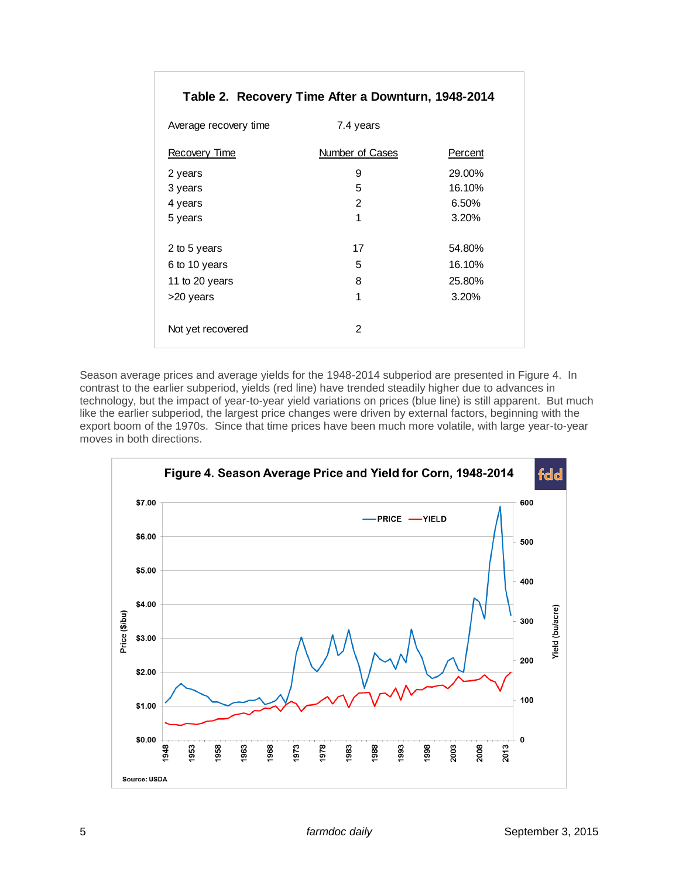| Table 2. Recovery Time After a Downturn, 1948-2014 |                 |         |  |
|----------------------------------------------------|-----------------|---------|--|
| Average recovery time                              | 7.4 years       |         |  |
| Recovery Time                                      | Number of Cases | Percent |  |
| 2 years                                            | 9               | 29.00%  |  |
| 3 years                                            | 5               | 16.10%  |  |
| 4 years                                            | 2               | 6.50%   |  |
| 5 years                                            | 1               | 3.20%   |  |
|                                                    |                 |         |  |
| 2 to 5 years                                       | 17              | 54.80%  |  |
| 6 to 10 years                                      | 5               | 16.10%  |  |
| 11 to 20 years                                     | 8               | 25.80%  |  |
| >20 years                                          | 1               | 3.20%   |  |
|                                                    |                 |         |  |
| Not yet recovered                                  | 2               |         |  |
|                                                    |                 |         |  |

Season average prices and average yields for the 1948-2014 subperiod are presented in Figure 4. In contrast to the earlier subperiod, yields (red line) have trended steadily higher due to advances in technology, but the impact of year-to-year yield variations on prices (blue line) is still apparent. But much like the earlier subperiod, the largest price changes were driven by external factors, beginning with the export boom of the 1970s. Since that time prices have been much more volatile, with large year-to-year moves in both directions.